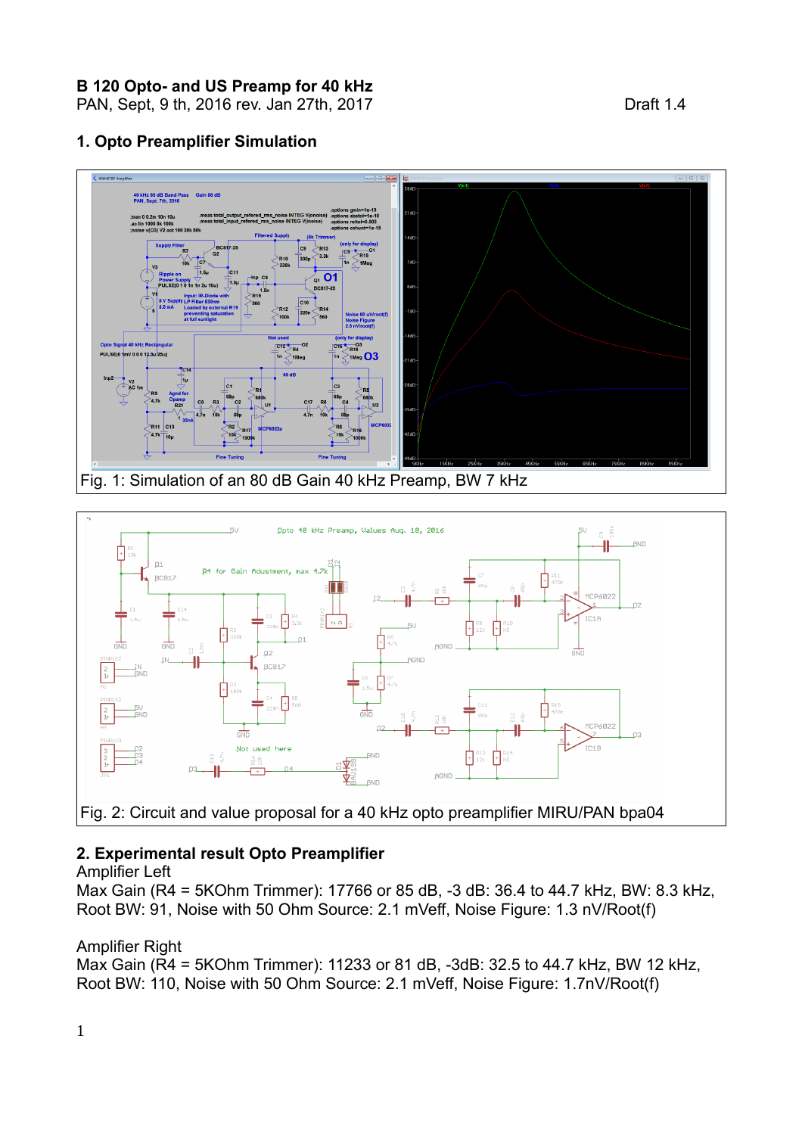**B 120 Opto- and US Preamp for 40 kHz** 

PAN, Sept, 9 th, 2016 rev. Jan 27th, 2017 **Draft 1.4** 

## **1. Opto Preamplifier Simulation**





# **2. Experimental result Opto Preamplifier**

### Amplifier Left

Max Gain (R4 = 5KOhm Trimmer): 17766 or 85 dB, -3 dB: 36.4 to 44.7 kHz, BW: 8.3 kHz, Root BW: 91, Noise with 50 Ohm Source: 2.1 mVeff, Noise Figure: 1.3 nV/Root(f)

### Amplifier Right

Max Gain (R4 = 5KOhm Trimmer): 11233 or 81 dB, -3dB: 32.5 to 44.7 kHz, BW 12 kHz, Root BW: 110, Noise with 50 Ohm Source: 2.1 mVeff, Noise Figure: 1.7nV/Root(f)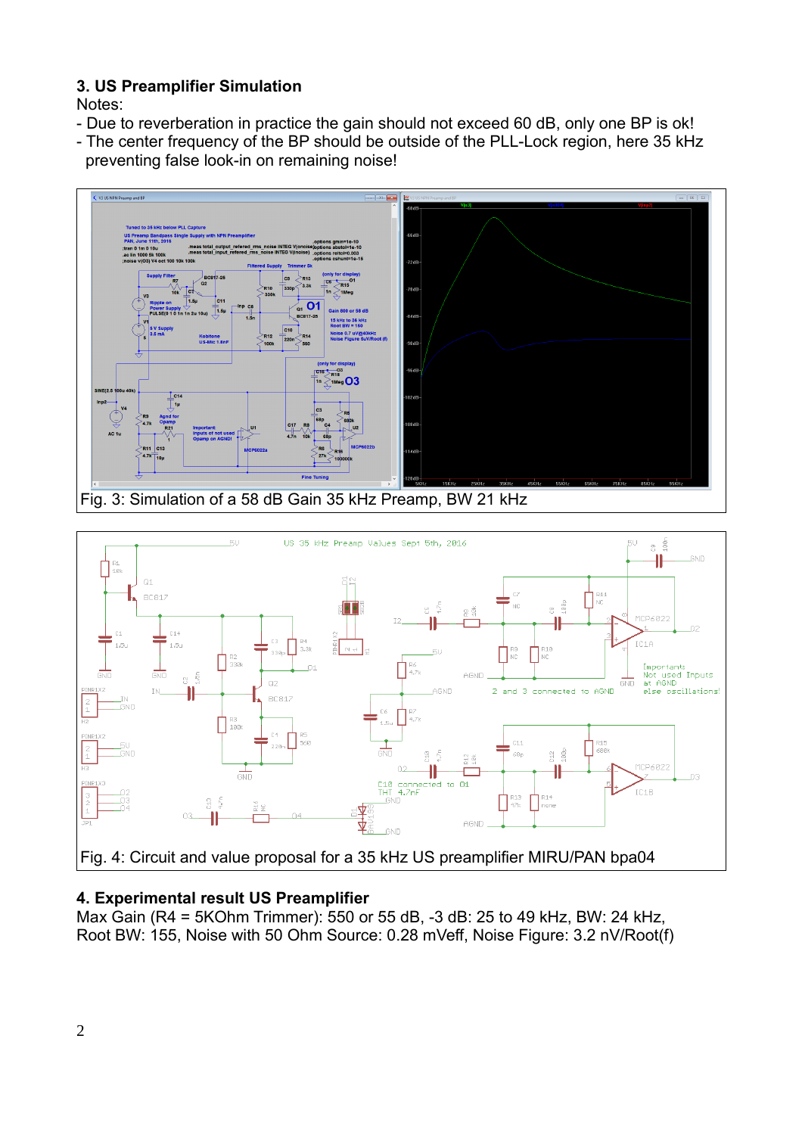# **3. US Preamplifier Simulation**

Notes:

- Due to reverberation in practice the gain should not exceed 60 dB, only one BP is ok!
- The center frequency of the BP should be outside of the PLL-Lock region, here 35 kHz preventing false look-in on remaining noise!





# **4. Experimental result US Preamplifier**

Max Gain (R4 = 5KOhm Trimmer): 550 or 55 dB, -3 dB: 25 to 49 kHz, BW: 24 kHz, Root BW: 155, Noise with 50 Ohm Source: 0.28 mVeff, Noise Figure: 3.2 nV/Root(f)